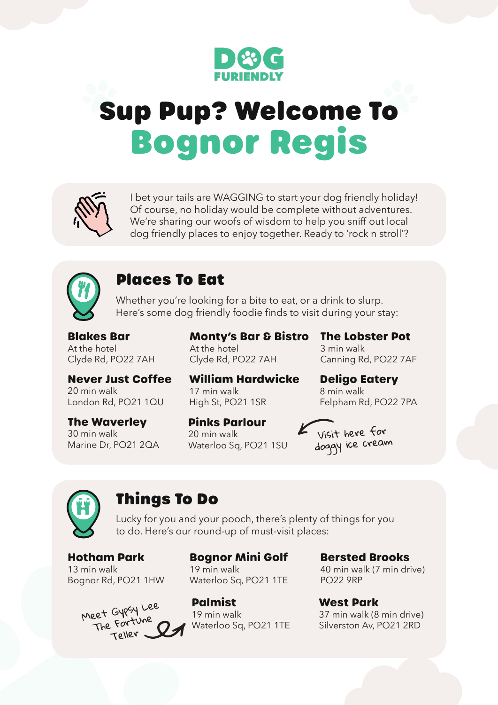

# Sup Pup? Welcome To Bognor Regis



I bet your tails are WAGGING to start your dog friendly holiday! Of course, no holiday would be complete without adventures. We're sharing our woofs of wisdom to help you sniff out local dog friendly places to enjoy together. Ready to 'rock n stroll'?



# Places To Eat

Whether you're looking for a bite to eat, or a drink to slurp. Here's some dog friendly foodie finds to visit during your stay:

**Blakes Bar**  At the hotel Clyde Rd, PO22 7AH **Monty's Bar & Bistro**  At the hotel Clyde Rd, PO22 7AH

**The Lobster Pot**  3 min walk Canning Rd, PO22 7AF

Felpham Rd, PO22 7PA

**Deligo Eatery**

**Never Just Coffee** 20 min walk London Rd, PO21 1QU

**The Waverley** 30 min walk Marine Dr, PO21 2QA **William Hardwicke** 17 min walk High St, PO21 1SR

**Pinks Parlour** 20 min walk Waterloo Sq, PO21 1SU



8 min walk



### Things To Do

Lucky for you and your pooch, there's plenty of things for you to do. Here's our round-up of must-visit places:

**Hotham Park**  13 min walk Bognor Rd, PO21 1HW



**Bognor Mini Golf**  19 min walk Waterloo Sq, PO21 1TE

**Palmist** 19 min walk Waterloo Sq, PO21 1TE **Bersted Brooks**  40 min walk (7 min drive) PO22 9RP

**West Park** 37 min walk (8 min drive) Silverston Av, PO21 2RD